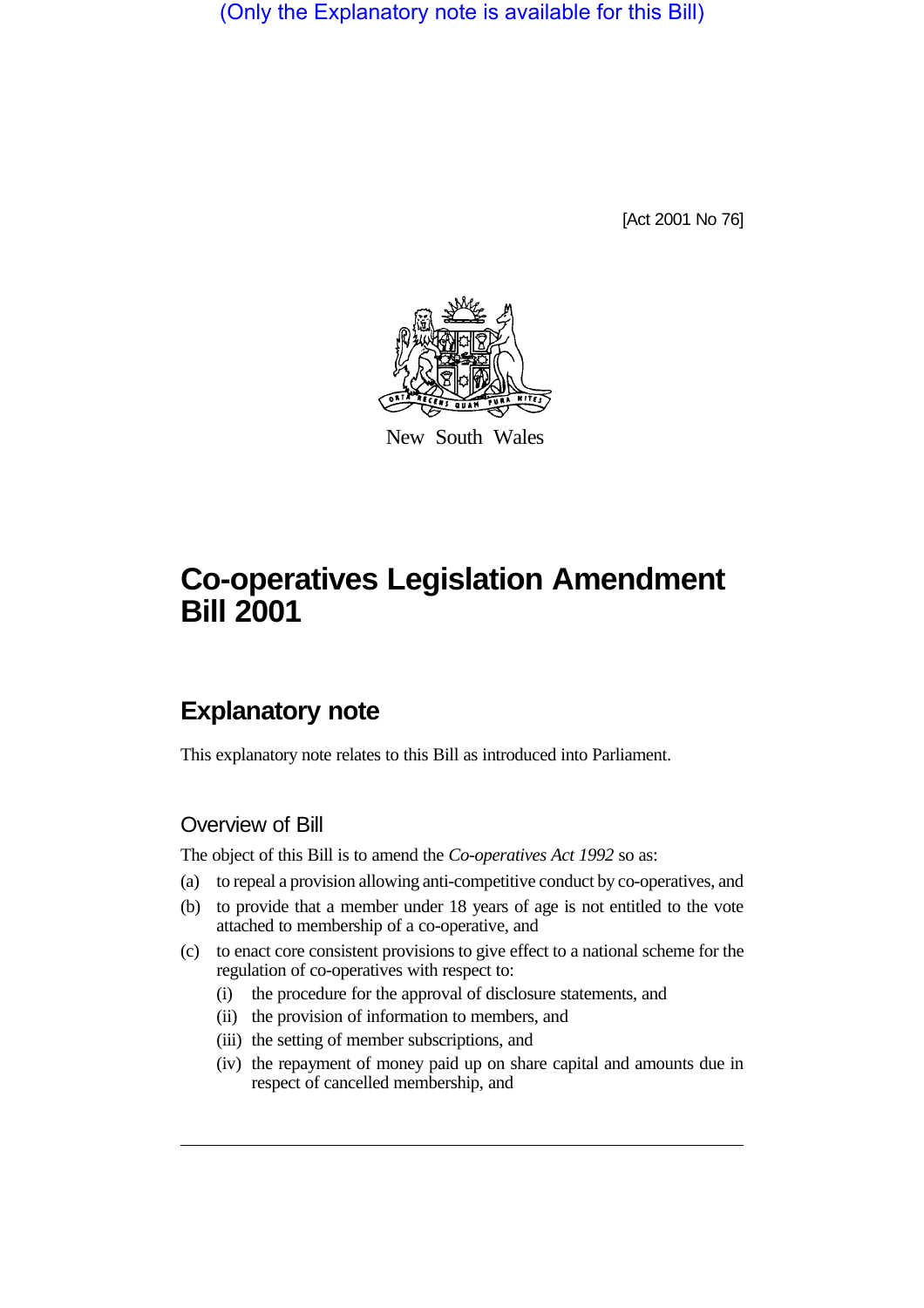(Only the Explanatory note is available for this Bill)

[Act 2001 No 76]



New South Wales

# **Co-operatives Legislation Amendment Bill 2001**

# **Explanatory note**

This explanatory note relates to this Bill as introduced into Parliament.

## Overview of Bill

The object of this Bill is to amend the *Co-operatives Act 1992* so as:

- (a) to repeal a provision allowing anti-competitive conduct by co-operatives, and
- (b) to provide that a member under 18 years of age is not entitled to the vote attached to membership of a co-operative, and
- (c) to enact core consistent provisions to give effect to a national scheme for the regulation of co-operatives with respect to:
	- (i) the procedure for the approval of disclosure statements, and
	- (ii) the provision of information to members, and
	- (iii) the setting of member subscriptions, and
	- (iv) the repayment of money paid up on share capital and amounts due in respect of cancelled membership, and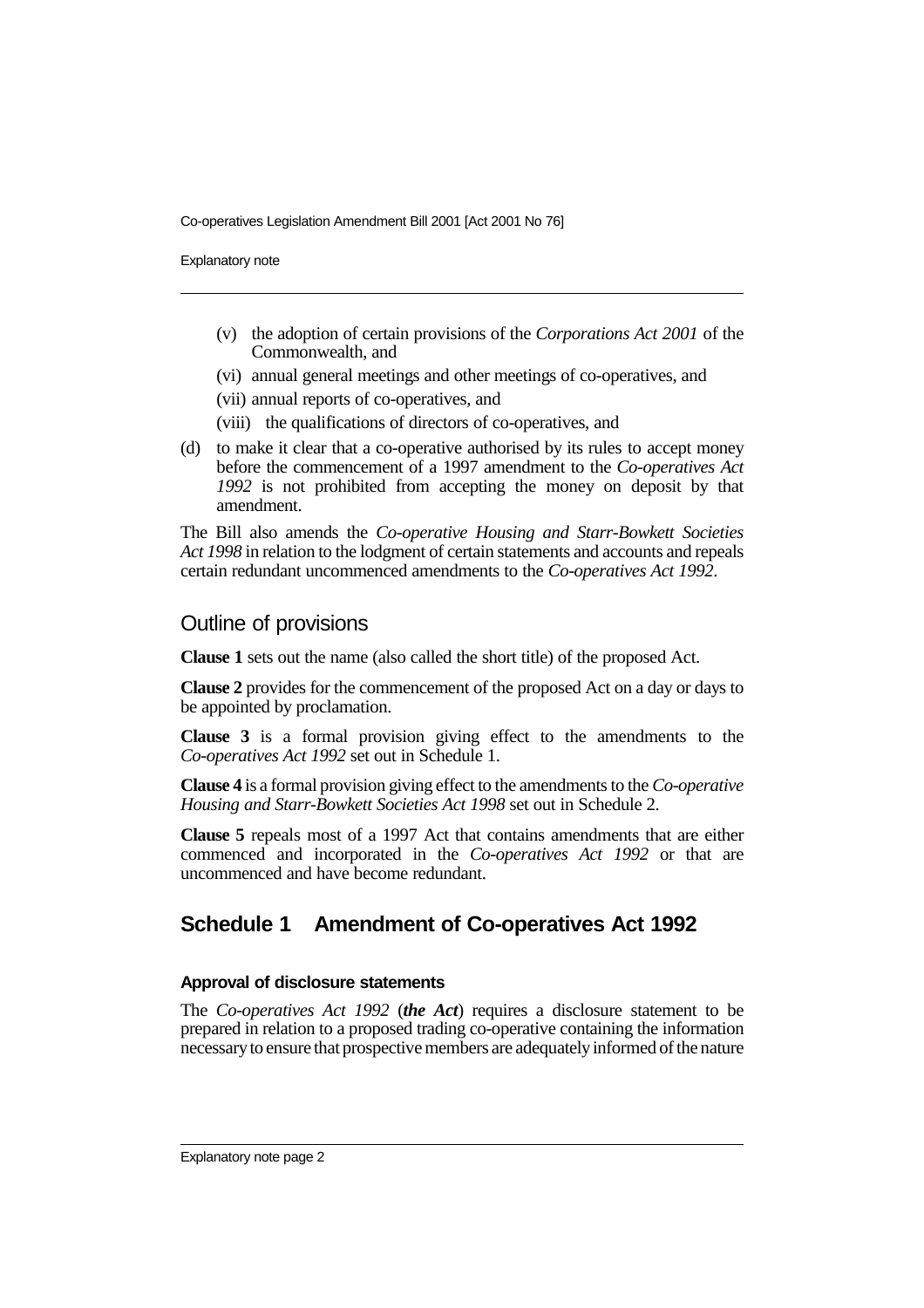Explanatory note

- (v) the adoption of certain provisions of the *Corporations Act 2001* of the Commonwealth, and
- (vi) annual general meetings and other meetings of co-operatives, and
- (vii) annual reports of co-operatives, and
- (viii) the qualifications of directors of co-operatives, and
- (d) to make it clear that a co-operative authorised by its rules to accept money before the commencement of a 1997 amendment to the *Co-operatives Act 1992* is not prohibited from accepting the money on deposit by that amendment.

The Bill also amends the *Co-operative Housing and Starr-Bowkett Societies Act 1998* in relation to the lodgment of certain statements and accounts and repeals certain redundant uncommenced amendments to the *Co-operatives Act 1992*.

### Outline of provisions

**Clause 1** sets out the name (also called the short title) of the proposed Act.

**Clause 2** provides for the commencement of the proposed Act on a day or days to be appointed by proclamation.

**Clause 3** is a formal provision giving effect to the amendments to the *Co-operatives Act 1992* set out in Schedule 1.

**Clause 4** is a formal provision giving effect to the amendments to the *Co-operative Housing and Starr-Bowkett Societies Act 1998* set out in Schedule 2.

**Clause 5** repeals most of a 1997 Act that contains amendments that are either commenced and incorporated in the *Co-operatives Act 1992* or that are uncommenced and have become redundant.

# **Schedule 1 Amendment of Co-operatives Act 1992**

#### **Approval of disclosure statements**

The *Co-operatives Act 1992* (*the Act*) requires a disclosure statement to be prepared in relation to a proposed trading co-operative containing the information necessary to ensure that prospective members are adequately informed of the nature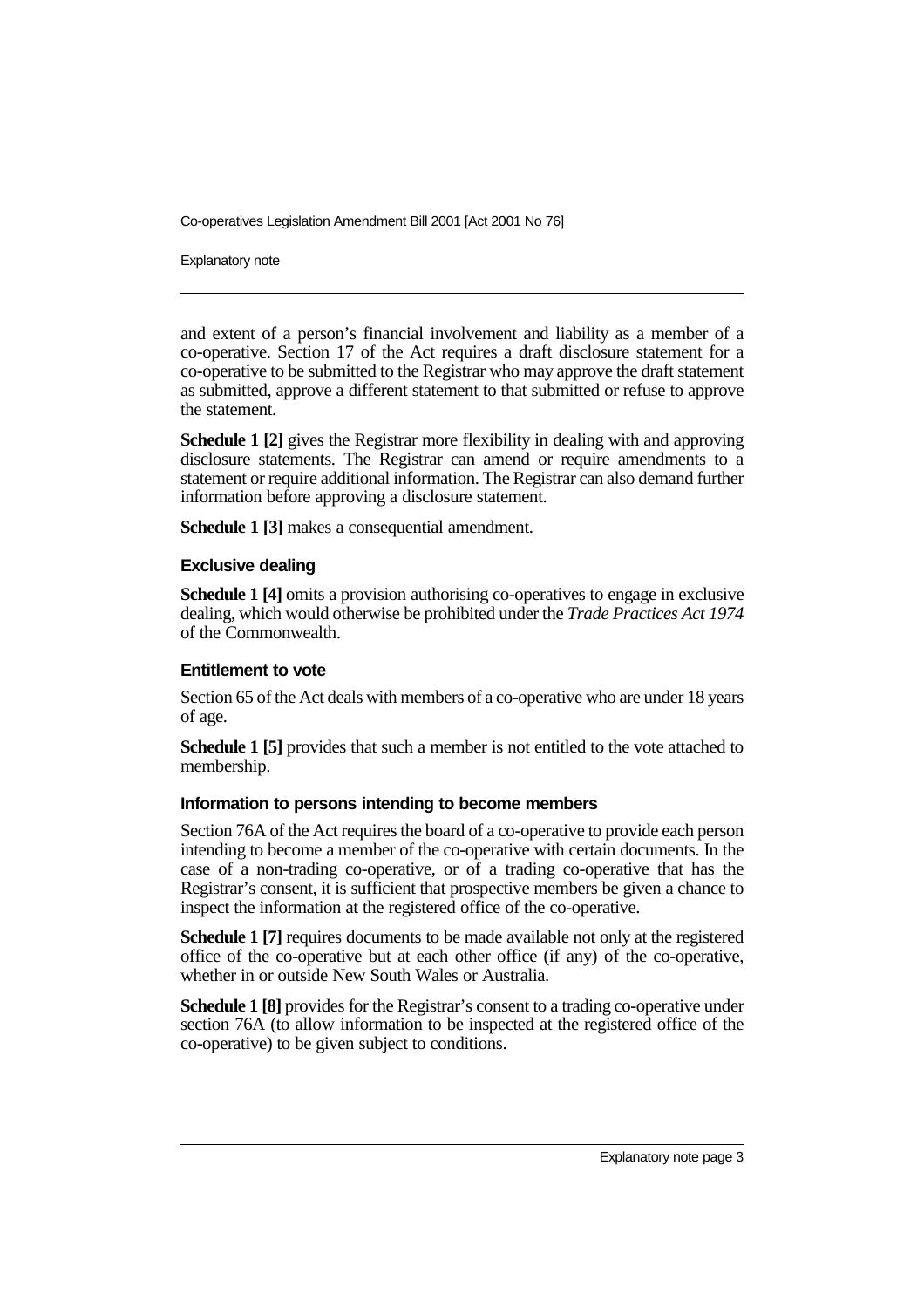Explanatory note

and extent of a person's financial involvement and liability as a member of a co-operative. Section 17 of the Act requires a draft disclosure statement for a co-operative to be submitted to the Registrar who may approve the draft statement as submitted, approve a different statement to that submitted or refuse to approve the statement.

**Schedule 1 [2]** gives the Registrar more flexibility in dealing with and approving disclosure statements. The Registrar can amend or require amendments to a statement or require additional information. The Registrar can also demand further information before approving a disclosure statement.

**Schedule 1 [3]** makes a consequential amendment.

#### **Exclusive dealing**

**Schedule 1 [4]** omits a provision authorising co-operatives to engage in exclusive dealing, which would otherwise be prohibited under the *Trade Practices Act 1974* of the Commonwealth.

#### **Entitlement to vote**

Section 65 of the Act deals with members of a co-operative who are under 18 years of age.

**Schedule 1 [5]** provides that such a member is not entitled to the vote attached to membership.

#### **Information to persons intending to become members**

Section 76A of the Act requires the board of a co-operative to provide each person intending to become a member of the co-operative with certain documents. In the case of a non-trading co-operative, or of a trading co-operative that has the Registrar's consent, it is sufficient that prospective members be given a chance to inspect the information at the registered office of the co-operative.

**Schedule 1 [7]** requires documents to be made available not only at the registered office of the co-operative but at each other office (if any) of the co-operative, whether in or outside New South Wales or Australia.

**Schedule 1 [8]** provides for the Registrar's consent to a trading co-operative under section 76A (to allow information to be inspected at the registered office of the co-operative) to be given subject to conditions.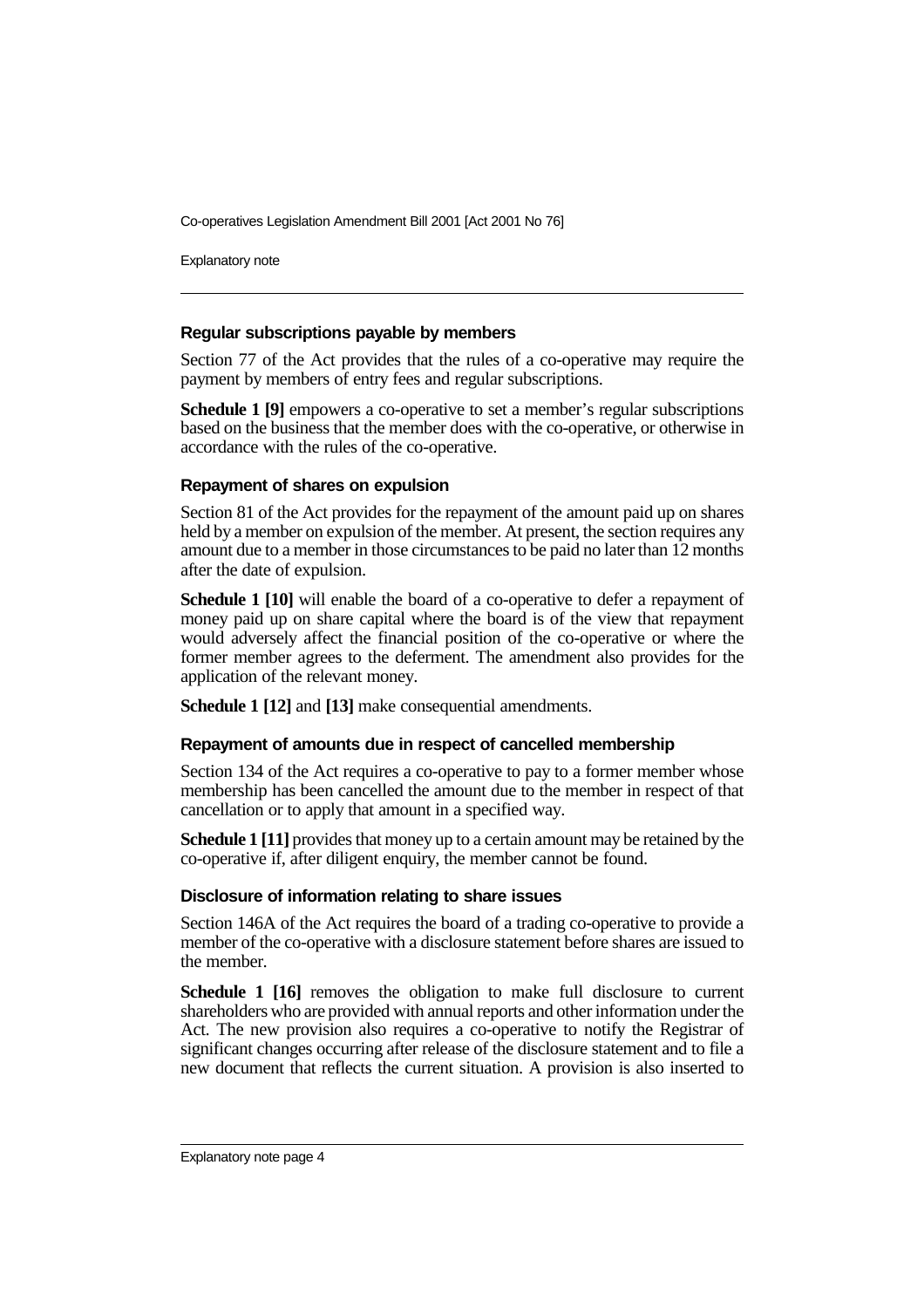Explanatory note

#### **Regular subscriptions payable by members**

Section 77 of the Act provides that the rules of a co-operative may require the payment by members of entry fees and regular subscriptions.

**Schedule 1 [9]** empowers a co-operative to set a member's regular subscriptions based on the business that the member does with the co-operative, or otherwise in accordance with the rules of the co-operative.

#### **Repayment of shares on expulsion**

Section 81 of the Act provides for the repayment of the amount paid up on shares held by a member on expulsion of the member. At present, the section requires any amount due to a member in those circumstances to be paid no later than 12 months after the date of expulsion.

**Schedule 1 [10]** will enable the board of a co-operative to defer a repayment of money paid up on share capital where the board is of the view that repayment would adversely affect the financial position of the co-operative or where the former member agrees to the deferment. The amendment also provides for the application of the relevant money.

**Schedule 1 [12]** and **[13]** make consequential amendments.

#### **Repayment of amounts due in respect of cancelled membership**

Section 134 of the Act requires a co-operative to pay to a former member whose membership has been cancelled the amount due to the member in respect of that cancellation or to apply that amount in a specified way.

**Schedule 1 [11]** provides that money up to a certain amount may be retained by the co-operative if, after diligent enquiry, the member cannot be found.

#### **Disclosure of information relating to share issues**

Section 146A of the Act requires the board of a trading co-operative to provide a member of the co-operative with a disclosure statement before shares are issued to the member.

**Schedule 1 [16]** removes the obligation to make full disclosure to current shareholders who are provided with annual reports and other information under the Act. The new provision also requires a co-operative to notify the Registrar of significant changes occurring after release of the disclosure statement and to file a new document that reflects the current situation. A provision is also inserted to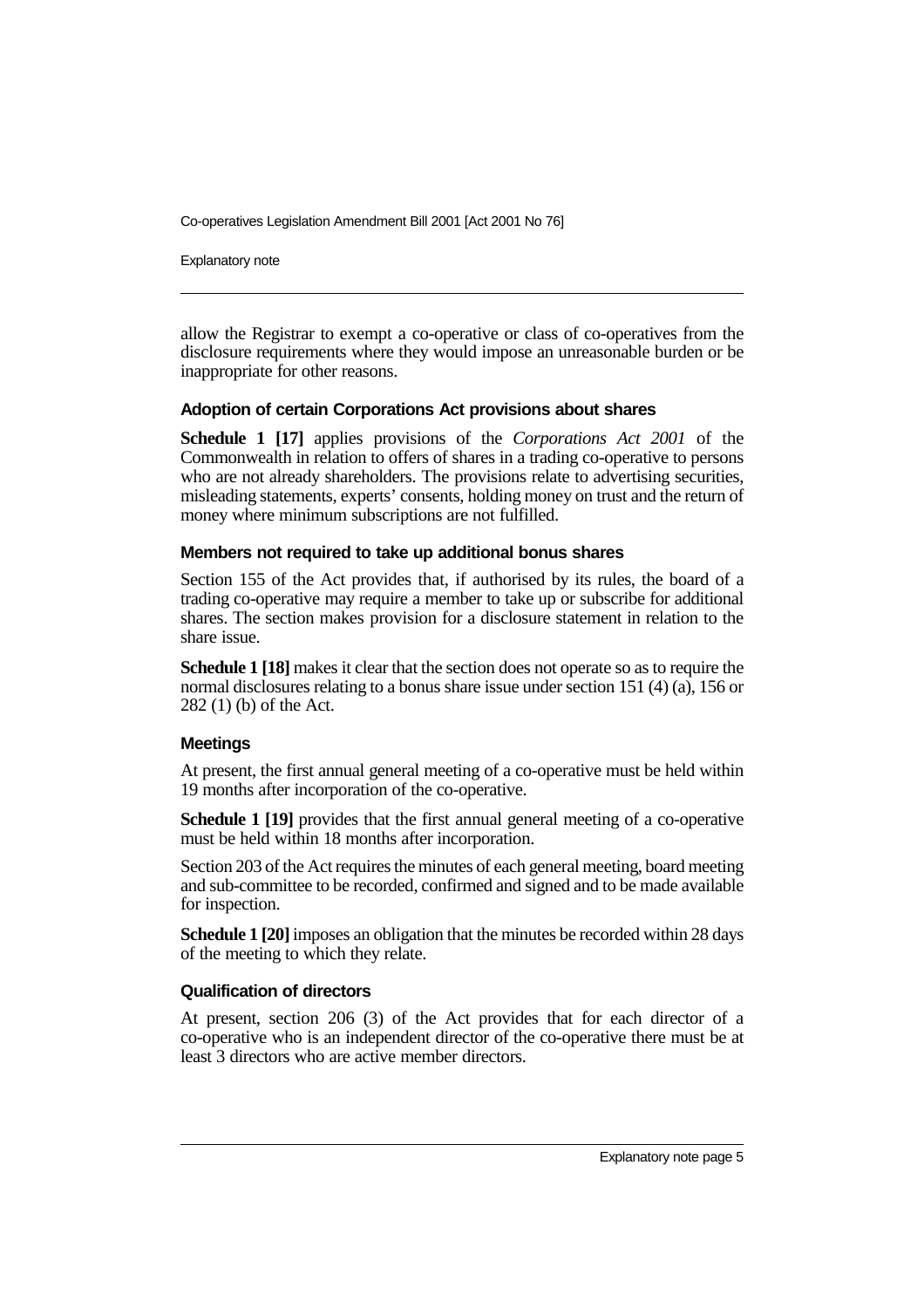Explanatory note

allow the Registrar to exempt a co-operative or class of co-operatives from the disclosure requirements where they would impose an unreasonable burden or be inappropriate for other reasons.

#### **Adoption of certain Corporations Act provisions about shares**

**Schedule 1 [17]** applies provisions of the *Corporations Act 2001* of the Commonwealth in relation to offers of shares in a trading co-operative to persons who are not already shareholders. The provisions relate to advertising securities, misleading statements, experts' consents, holding money on trust and the return of money where minimum subscriptions are not fulfilled.

#### **Members not required to take up additional bonus shares**

Section 155 of the Act provides that, if authorised by its rules, the board of a trading co-operative may require a member to take up or subscribe for additional shares. The section makes provision for a disclosure statement in relation to the share issue.

**Schedule 1 [18]** makes it clear that the section does not operate so as to require the normal disclosures relating to a bonus share issue under section 151 (4) (a), 156 or 282 (1) (b) of the Act.

#### **Meetings**

At present, the first annual general meeting of a co-operative must be held within 19 months after incorporation of the co-operative.

**Schedule 1 [19]** provides that the first annual general meeting of a co-operative must be held within 18 months after incorporation.

Section 203 of the Act requires the minutes of each general meeting, board meeting and sub-committee to be recorded, confirmed and signed and to be made available for inspection.

**Schedule 1 [20]** imposes an obligation that the minutes be recorded within 28 days of the meeting to which they relate.

#### **Qualification of directors**

At present, section 206 (3) of the Act provides that for each director of a co-operative who is an independent director of the co-operative there must be at least 3 directors who are active member directors.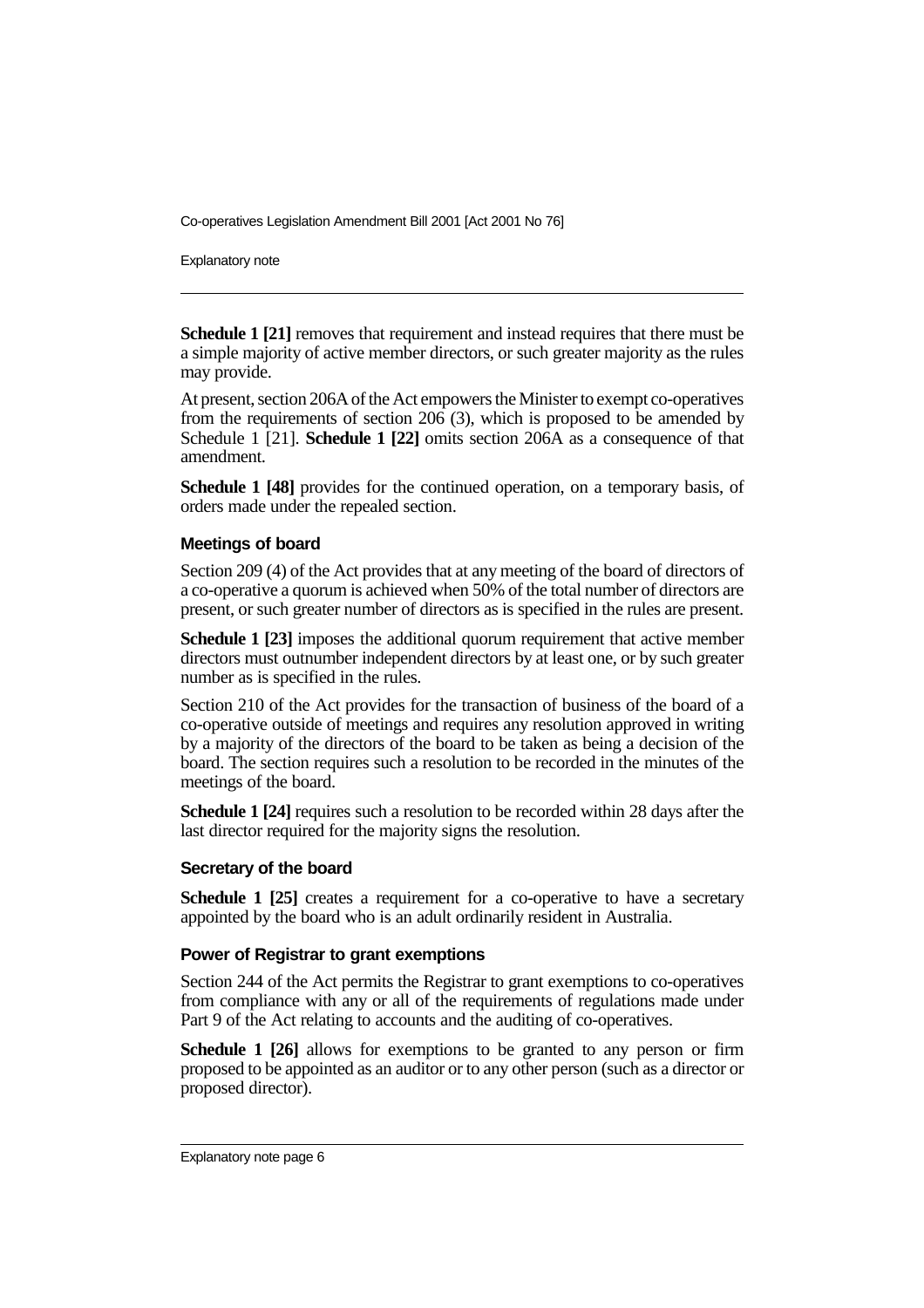Explanatory note

**Schedule 1 [21]** removes that requirement and instead requires that there must be a simple majority of active member directors, or such greater majority as the rules may provide.

At present, section 206A of the Act empowers the Minister to exempt co-operatives from the requirements of section  $206(3)$ , which is proposed to be amended by Schedule 1 [21]. **Schedule 1 [22]** omits section 206A as a consequence of that amendment.

**Schedule 1 [48]** provides for the continued operation, on a temporary basis, of orders made under the repealed section.

#### **Meetings of board**

Section 209 (4) of the Act provides that at any meeting of the board of directors of a co-operative a quorum is achieved when 50% of the total number of directors are present, or such greater number of directors as is specified in the rules are present.

**Schedule 1 [23]** imposes the additional quorum requirement that active member directors must outnumber independent directors by at least one, or by such greater number as is specified in the rules.

Section 210 of the Act provides for the transaction of business of the board of a co-operative outside of meetings and requires any resolution approved in writing by a majority of the directors of the board to be taken as being a decision of the board. The section requires such a resolution to be recorded in the minutes of the meetings of the board.

**Schedule 1 [24]** requires such a resolution to be recorded within 28 days after the last director required for the majority signs the resolution.

#### **Secretary of the board**

**Schedule 1 [25]** creates a requirement for a co-operative to have a secretary appointed by the board who is an adult ordinarily resident in Australia.

#### **Power of Registrar to grant exemptions**

Section 244 of the Act permits the Registrar to grant exemptions to co-operatives from compliance with any or all of the requirements of regulations made under Part 9 of the Act relating to accounts and the auditing of co-operatives.

**Schedule 1 [26]** allows for exemptions to be granted to any person or firm proposed to be appointed as an auditor or to any other person (such as a director or proposed director).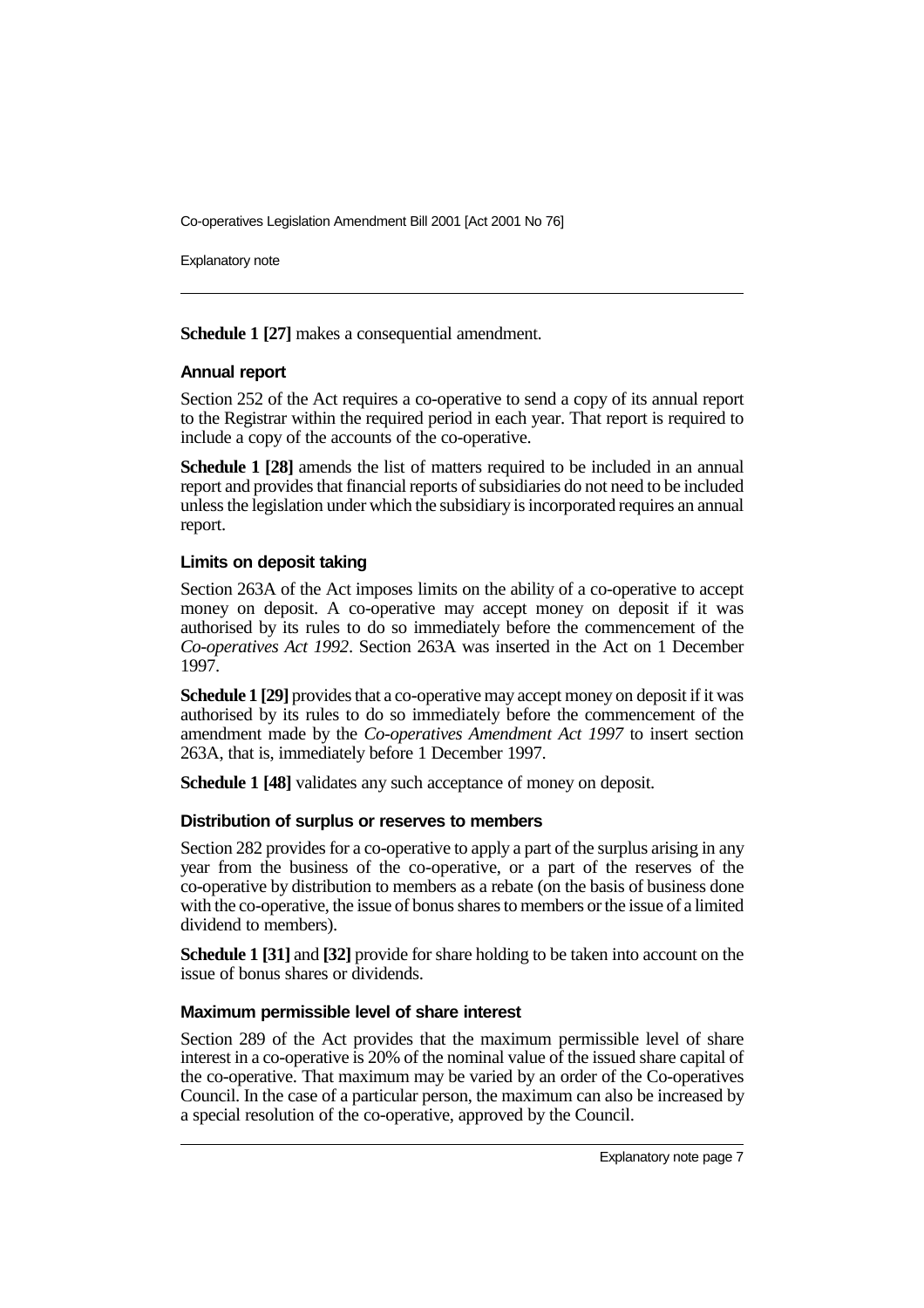Explanatory note

**Schedule 1 [27]** makes a consequential amendment.

#### **Annual report**

Section 252 of the Act requires a co-operative to send a copy of its annual report to the Registrar within the required period in each year. That report is required to include a copy of the accounts of the co-operative.

**Schedule 1 [28]** amends the list of matters required to be included in an annual report and provides that financial reports of subsidiaries do not need to be included unless the legislation under which the subsidiary is incorporated requires an annual report.

#### **Limits on deposit taking**

Section 263A of the Act imposes limits on the ability of a co-operative to accept money on deposit. A co-operative may accept money on deposit if it was authorised by its rules to do so immediately before the commencement of the *Co-operatives Act 1992*. Section 263A was inserted in the Act on 1 December 1997.

**Schedule 1 [29]** provides that a co-operative may accept money on deposit if it was authorised by its rules to do so immediately before the commencement of the amendment made by the *Co-operatives Amendment Act 1997* to insert section 263A, that is, immediately before 1 December 1997.

**Schedule 1 [48]** validates any such acceptance of money on deposit.

#### **Distribution of surplus or reserves to members**

Section 282 provides for a co-operative to apply a part of the surplus arising in any year from the business of the co-operative, or a part of the reserves of the co-operative by distribution to members as a rebate (on the basis of business done with the co-operative, the issue of bonus shares to members or the issue of a limited dividend to members).

**Schedule 1 [31]** and **[32]** provide for share holding to be taken into account on the issue of bonus shares or dividends.

#### **Maximum permissible level of share interest**

Section 289 of the Act provides that the maximum permissible level of share interest in a co-operative is 20% of the nominal value of the issued share capital of the co-operative. That maximum may be varied by an order of the Co-operatives Council. In the case of a particular person, the maximum can also be increased by a special resolution of the co-operative, approved by the Council.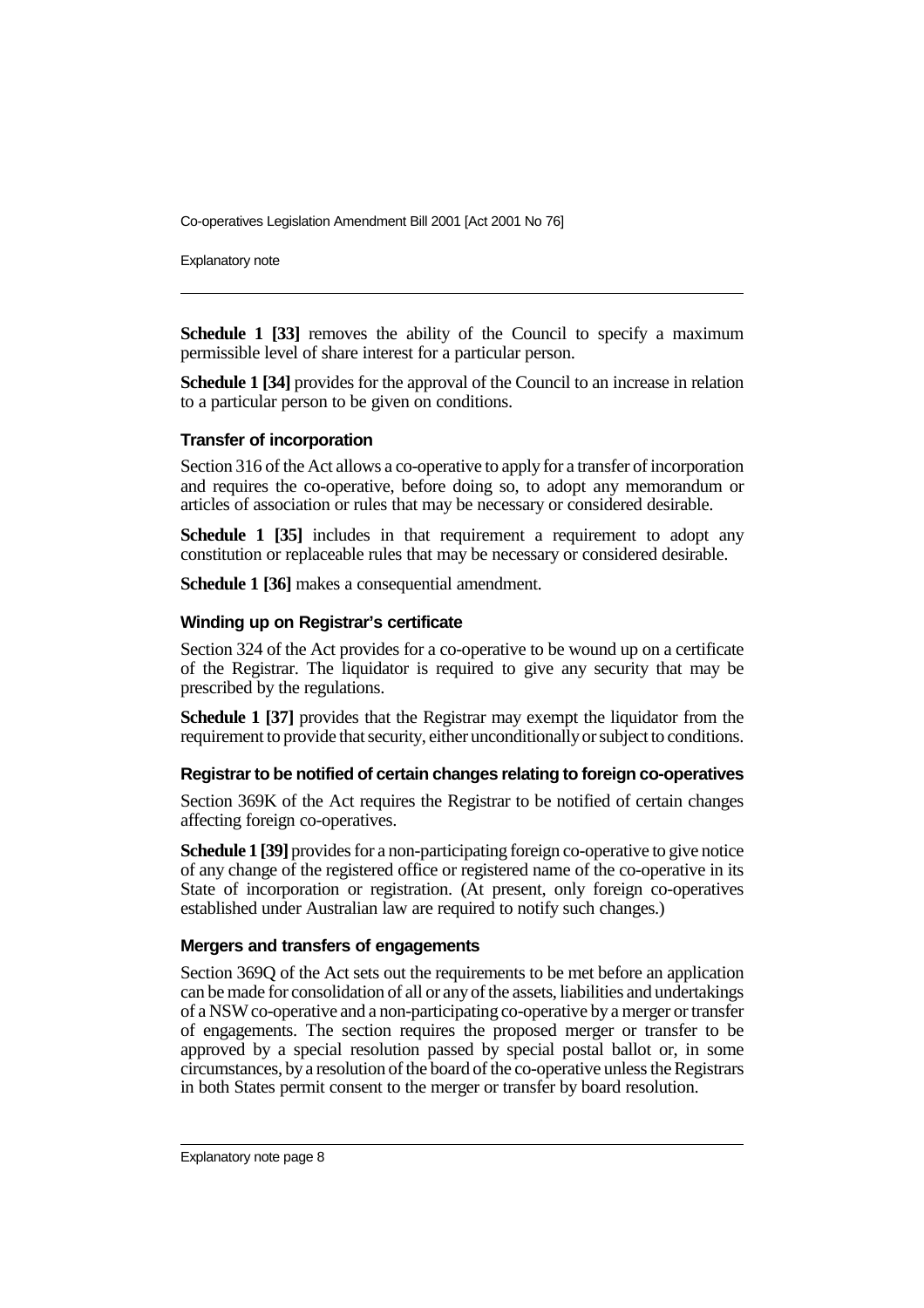Explanatory note

**Schedule 1 [33]** removes the ability of the Council to specify a maximum permissible level of share interest for a particular person.

**Schedule 1 [34]** provides for the approval of the Council to an increase in relation to a particular person to be given on conditions.

#### **Transfer of incorporation**

Section 316 of the Act allows a co-operative to apply for a transfer of incorporation and requires the co-operative, before doing so, to adopt any memorandum or articles of association or rules that may be necessary or considered desirable.

**Schedule 1 [35]** includes in that requirement a requirement to adopt any constitution or replaceable rules that may be necessary or considered desirable.

**Schedule 1 [36]** makes a consequential amendment.

#### **Winding up on Registrar's certificate**

Section 324 of the Act provides for a co-operative to be wound up on a certificate of the Registrar. The liquidator is required to give any security that may be prescribed by the regulations.

**Schedule 1 [37]** provides that the Registrar may exempt the liquidator from the requirement to provide that security, either unconditionally or subject to conditions.

#### **Registrar to be notified of certain changes relating to foreign co-operatives**

Section 369K of the Act requires the Registrar to be notified of certain changes affecting foreign co-operatives.

**Schedule 1 [39]** provides for a non-participating foreign co-operative to give notice of any change of the registered office or registered name of the co-operative in its State of incorporation or registration. (At present, only foreign co-operatives established under Australian law are required to notify such changes.)

#### **Mergers and transfers of engagements**

Section 369Q of the Act sets out the requirements to be met before an application can be made for consolidation of all or any of the assets, liabilities and undertakings of a NSW co-operative and a non-participating co-operative by a merger or transfer of engagements. The section requires the proposed merger or transfer to be approved by a special resolution passed by special postal ballot or, in some circumstances, by a resolution of the board of the co-operative unless the Registrars in both States permit consent to the merger or transfer by board resolution.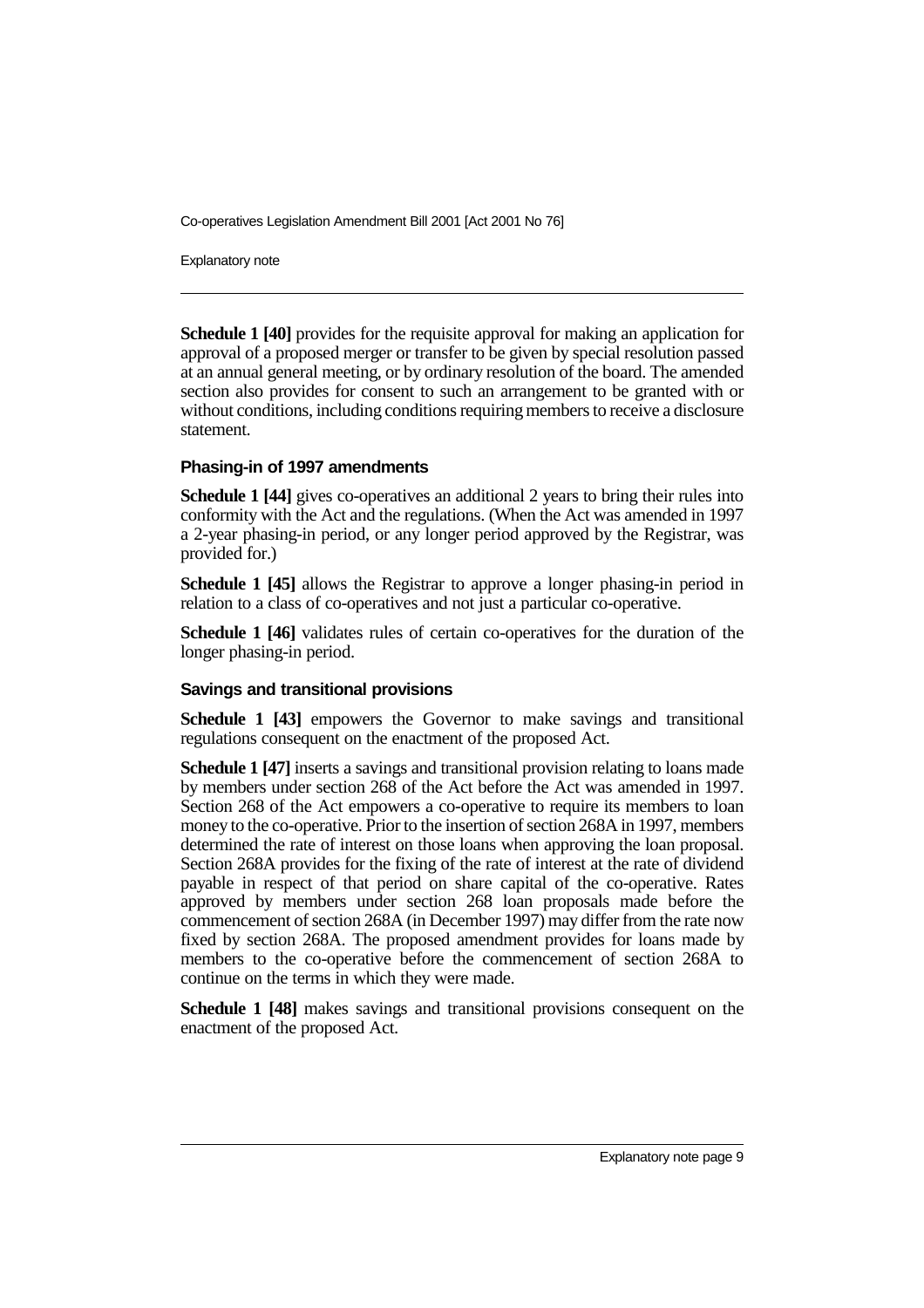Explanatory note

**Schedule 1 [40]** provides for the requisite approval for making an application for approval of a proposed merger or transfer to be given by special resolution passed at an annual general meeting, or by ordinary resolution of the board. The amended section also provides for consent to such an arrangement to be granted with or without conditions, including conditions requiring members to receive a disclosure statement.

#### **Phasing-in of 1997 amendments**

**Schedule 1 [44]** gives co-operatives an additional 2 years to bring their rules into conformity with the Act and the regulations. (When the Act was amended in 1997 a 2-year phasing-in period, or any longer period approved by the Registrar, was provided for.)

**Schedule 1 [45]** allows the Registrar to approve a longer phasing-in period in relation to a class of co-operatives and not just a particular co-operative.

**Schedule 1 [46]** validates rules of certain co-operatives for the duration of the longer phasing-in period.

#### **Savings and transitional provisions**

**Schedule 1 [43]** empowers the Governor to make savings and transitional regulations consequent on the enactment of the proposed Act.

**Schedule 1 [47]** inserts a savings and transitional provision relating to loans made by members under section 268 of the Act before the Act was amended in 1997. Section 268 of the Act empowers a co-operative to require its members to loan money to the co-operative. Prior to the insertion of section 268A in 1997, members determined the rate of interest on those loans when approving the loan proposal. Section 268A provides for the fixing of the rate of interest at the rate of dividend payable in respect of that period on share capital of the co-operative. Rates approved by members under section 268 loan proposals made before the commencement of section 268A (in December 1997) may differ from the rate now fixed by section 268A. The proposed amendment provides for loans made by members to the co-operative before the commencement of section 268A to continue on the terms in which they were made.

**Schedule 1 [48]** makes savings and transitional provisions consequent on the enactment of the proposed Act.